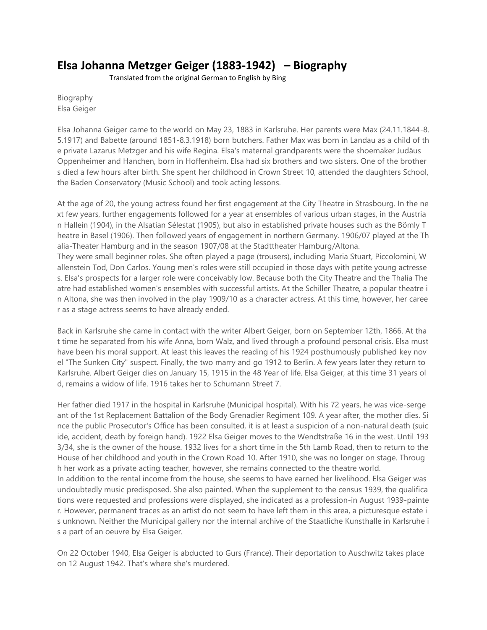## **Elsa Johanna Metzger Geiger (1883-1942) – Biography**

Translated from the original German to English by Bing

Biography Elsa Geiger

Elsa Johanna Geiger came to the world on May 23, 1883 in Karlsruhe. Her parents were Max (24.11.1844-8. 5.1917) and Babette (around 1851-8.3.1918) born butchers. Father Max was born in Landau as a child of th e private Lazarus Metzger and his wife Regina. Elsa's maternal grandparents were the shoemaker Judäus Oppenheimer and Hanchen, born in Hoffenheim. Elsa had six brothers and two sisters. One of the brother s died a few hours after birth. She spent her childhood in Crown Street 10, attended the daughters School, the Baden Conservatory (Music School) and took acting lessons.

At the age of 20, the young actress found her first engagement at the City Theatre in Strasbourg. In the ne xt few years, further engagements followed for a year at ensembles of various urban stages, in the Austria n Hallein (1904), in the Alsatian Sélestat (1905), but also in established private houses such as the Bömly T heatre in Basel (1906). Then followed years of engagement in northern Germany. 1906/07 played at the Th alia-Theater Hamburg and in the season 1907/08 at the Stadttheater Hamburg/Altona. They were small beginner roles. She often played a page (trousers), including Maria Stuart, Piccolomini, W allenstein Tod, Don Carlos. Young men's roles were still occupied in those days with petite young actresse s. Elsa's prospects for a larger role were conceivably low. Because both the City Theatre and the Thalia The atre had established women's ensembles with successful artists. At the Schiller Theatre, a popular theatre i n Altona, she was then involved in the play 1909/10 as a character actress. At this time, however, her caree r as a stage actress seems to have already ended.

Back in Karlsruhe she came in contact with the writer Albert Geiger, born on September 12th, 1866. At tha t time he separated from his wife Anna, born Walz, and lived through a profound personal crisis. Elsa must have been his moral support. At least this leaves the reading of his 1924 posthumously published key nov el "The Sunken City" suspect. Finally, the two marry and go 1912 to Berlin. A few years later they return to Karlsruhe. Albert Geiger dies on January 15, 1915 in the 48 Year of life. Elsa Geiger, at this time 31 years ol d, remains a widow of life. 1916 takes her to Schumann Street 7.

Her father died 1917 in the hospital in Karlsruhe (Municipal hospital). With his 72 years, he was vice-serge ant of the 1st Replacement Battalion of the Body Grenadier Regiment 109. A year after, the mother dies. Si nce the public Prosecutor's Office has been consulted, it is at least a suspicion of a non-natural death (suic ide, accident, death by foreign hand). 1922 Elsa Geiger moves to the Wendtstraße 16 in the west. Until 193 3/34, she is the owner of the house. 1932 lives for a short time in the 5th Lamb Road, then to return to the House of her childhood and youth in the Crown Road 10. After 1910, she was no longer on stage. Throug h her work as a private acting teacher, however, she remains connected to the theatre world.

In addition to the rental income from the house, she seems to have earned her livelihood. Elsa Geiger was undoubtedly music predisposed. She also painted. When the supplement to the census 1939, the qualifica tions were requested and professions were displayed, she indicated as a profession-in August 1939-painte r. However, permanent traces as an artist do not seem to have left them in this area, a picturesque estate i s unknown. Neither the Municipal gallery nor the internal archive of the Staatliche Kunsthalle in Karlsruhe i s a part of an oeuvre by Elsa Geiger.

On 22 October 1940, Elsa Geiger is abducted to Gurs (France). Their deportation to Auschwitz takes place on 12 August 1942. That's where she's murdered.